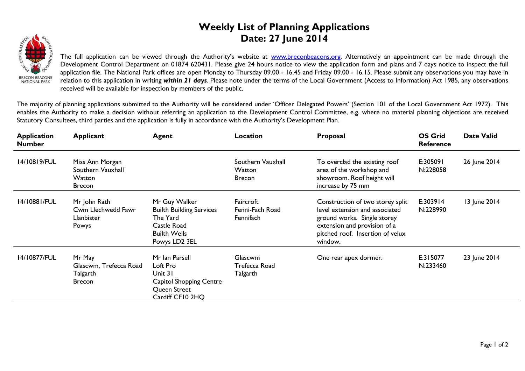## **Weekly List of Planning Applications Date: 27 June 2014**



The full application can be viewed through the Authority's website at **www.breconbeacons.org**. Alternatively an appointment can be made through the Development Control Department on 01874 620431. Please give 24 hours notice to view the application form and plans and 7 days notice to inspect the full application file. The National Park offices are open Monday to Thursday 09.00 - 16.45 and Friday 09.00 - 16.15. Please submit any observations you may have in relation to this application in writing *within 21 days*. Please note under the terms of the Local Government (Access to Information) Act 1985, any observations received will be available for inspection by members of the public.

The majority of planning applications submitted to the Authority will be considered under 'Officer Delegated Powers' (Section 101 of the Local Government Act 1972). This enables the Authority to make a decision without referring an application to the Development Control Committee, e.g. where no material planning objections are received Statutory Consultees, third parties and the application is fully in accordance with the Authority's Development Plan.

| <b>Application</b><br><b>Number</b> | <b>Applicant</b>                                                | <b>Agent</b>                                                                                                        | Location                                     | Proposal                                                                                                                                                                         | <b>OS Grid</b><br><b>Reference</b> | <b>Date Valid</b> |
|-------------------------------------|-----------------------------------------------------------------|---------------------------------------------------------------------------------------------------------------------|----------------------------------------------|----------------------------------------------------------------------------------------------------------------------------------------------------------------------------------|------------------------------------|-------------------|
| 14/10819/FUL                        | Miss Ann Morgan<br>Southern Vauxhall<br>Watton<br><b>Brecon</b> |                                                                                                                     | Southern Vauxhall<br>Watton<br><b>Brecon</b> | To overclad the existing roof<br>area of the workshop and<br>showroom. Roof height will<br>increase by 75 mm                                                                     | E:305091<br>N:228058               | 26 June 2014      |
| 14/10881/FUL                        | Mr John Rath<br>Cwm Llechwedd Fawr<br>Llanbister<br>Powys       | Mr Guy Walker<br><b>Builth Building Services</b><br>The Yard<br>Castle Road<br><b>Builth Wells</b><br>Powys LD2 3EL | Faircroft<br>Fenni-Fach Road<br>Fennifach    | Construction of two storey split<br>level extension and associated<br>ground works. Single storey<br>extension and provision of a<br>pitched roof. Insertion of velux<br>window. | E:303914<br>N:228990               | 13 June 2014      |
| 14/10877/FUL                        | Mr May<br>Glascwm, Trefecca Road<br>Talgarth<br><b>Brecon</b>   | Mr Ian Parsell<br>Loft Pro<br>Unit 31<br>Capitol Shopping Centre<br>Queen Street<br>Cardiff CF10 2HQ                | Glascwm<br>Trefecca Road<br>Talgarth         | One rear apex dormer.                                                                                                                                                            | E:315077<br>N:233460               | 23 June 2014      |